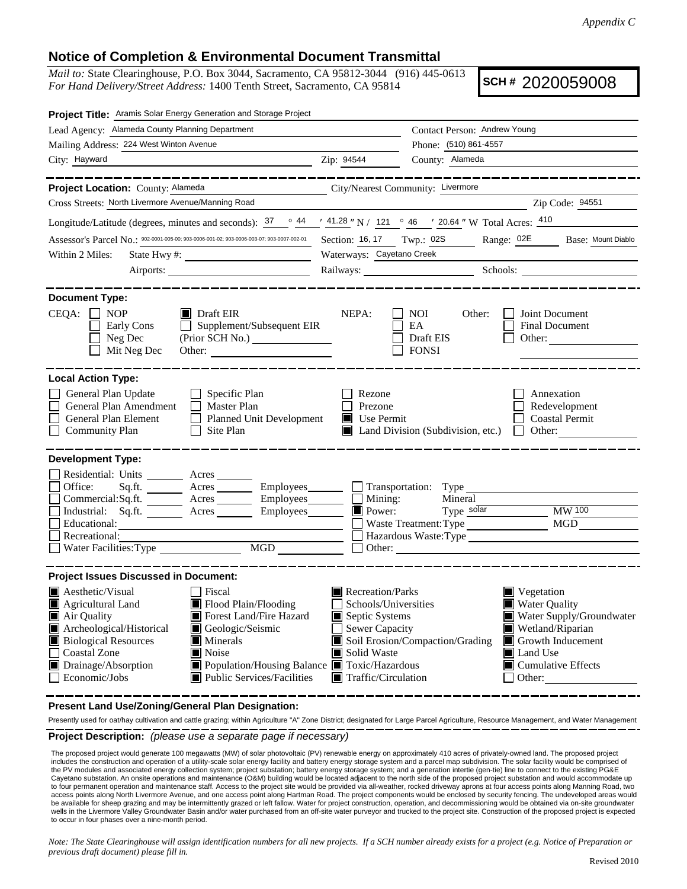## **Notice of Completion & Environmental Document Transmittal**

*Mail to:* State Clearinghouse, P.O. Box 3044, Sacramento, CA 95812-3044 (916) 445-0613 *For Hand Delivery/Street Address:* 1400 Tenth Street, Sacramento, CA 95814

**SCH #** 2020059008

| Project Title: Aramis Solar Energy Generation and Storage Project                                                                                                                                                                                                                                                                          |                                                                                     |                                                                                  |                                                                                                                                       |  |
|--------------------------------------------------------------------------------------------------------------------------------------------------------------------------------------------------------------------------------------------------------------------------------------------------------------------------------------------|-------------------------------------------------------------------------------------|----------------------------------------------------------------------------------|---------------------------------------------------------------------------------------------------------------------------------------|--|
| Lead Agency: Alameda County Planning Department                                                                                                                                                                                                                                                                                            |                                                                                     | Contact Person: Andrew Young                                                     |                                                                                                                                       |  |
| Mailing Address: 224 West Winton Avenue                                                                                                                                                                                                                                                                                                    |                                                                                     | Phone: (510) 861-4557                                                            |                                                                                                                                       |  |
| City: Hayward                                                                                                                                                                                                                                                                                                                              | Zip: 94544                                                                          | County: Alameda                                                                  |                                                                                                                                       |  |
|                                                                                                                                                                                                                                                                                                                                            |                                                                                     |                                                                                  |                                                                                                                                       |  |
| Project Location: County: Alameda                                                                                                                                                                                                                                                                                                          | City/Nearest Community: Livermore                                                   |                                                                                  |                                                                                                                                       |  |
| Cross Streets: North Livermore Avenue/Manning Road                                                                                                                                                                                                                                                                                         |                                                                                     |                                                                                  | Zip Code: 94551                                                                                                                       |  |
| Longitude/Latitude (degrees, minutes and seconds): $\frac{37}{128}$ $\frac{44}{128}$ N / 121 $\degree$ 46 $\degree$ 20.64 " W Total Acres: $\frac{410}{128}$                                                                                                                                                                               |                                                                                     |                                                                                  |                                                                                                                                       |  |
| Assessor's Parcel No.: 902-0001-005-00; 903-0006-001-02; 903-0006-003-07; 903-0007-002-01                                                                                                                                                                                                                                                  |                                                                                     | Section: 16, 17 Twp.: 02S Range: 02E Base: Mount Diablo                          |                                                                                                                                       |  |
| Within 2 Miles:<br>State Hwy #:                                                                                                                                                                                                                                                                                                            |                                                                                     | Waterways: Cayetano Creek                                                        |                                                                                                                                       |  |
| Airports:                                                                                                                                                                                                                                                                                                                                  |                                                                                     | Railways: Schools: Schools:                                                      |                                                                                                                                       |  |
| <b>Document Type:</b><br>$CEQA: \Box NP$<br>$\blacksquare$ Draft EIR<br>Early Cons<br>$\Box$ Supplement/Subsequent EIR<br>Neg Dec<br>$\blacksquare$<br>Mit Neg Dec<br>Other:                                                                                                                                                               | NEPA:                                                                               | NOI<br>Other:<br>EA<br>Draft EIS<br><b>FONSI</b>                                 | Joint Document<br>Final Document<br>Other:                                                                                            |  |
| <b>Local Action Type:</b>                                                                                                                                                                                                                                                                                                                  |                                                                                     |                                                                                  |                                                                                                                                       |  |
| General Plan Update<br>$\Box$ Specific Plan<br>General Plan Amendment<br>$\Box$ Master Plan<br>General Plan Element<br>Planned Unit Development<br><b>Community Plan</b><br>$\Box$ Site Plan                                                                                                                                               | Rezone<br>$\Box$ Prezone<br>$\blacksquare$ Use Permit                               | Land Division (Subdivision, etc.)                                                | Annexation<br>Redevelopment<br><b>Coastal Permit</b><br><b>Other:</b>                                                                 |  |
| <b>Development Type:</b><br>Residential: Units Acres<br>Office:<br>Sq.ft. _________ Acres __________ Employees_________ ____ Transportation: Type ___________<br>Commercial:Sq.ft. <u>Acres</u> Acres Employees<br>Industrial: Sq.ft. <u>Acres</u> Acres Employees<br>Recreational:<br>Necreational:<br>Nater Facilities: Type MGD MGD MGD | $\Box$ Mining:<br>$\Box$ Power:<br>$\blacksquare$ Power:                            | Mineral<br>Type solar<br>Waste Treatment: Type<br>Hazardous Waste:Type<br>Other: | <b>MW</b> 100<br>MGD                                                                                                                  |  |
| <b>Project Issues Discussed in Document:</b><br>Aesthetic/Visual<br>Fiscal<br>Agricultural Land<br>Flood Plain/Flooding<br>Air Quality<br>Forest Land/Fire Hazard<br>Archeological/Historical<br>Geologic/Seismic<br><b>Biological Resources</b><br>$\blacksquare$ Minerals                                                                | Recreation/Parks<br>Schools/Universities<br>Septic Systems<br>$\Box$ Sewer Capacity | Soil Erosion/Compaction/Grading                                                  | $\blacksquare$ Vegetation<br><b>Water Quality</b><br>Water Supply/Groundwater<br>Wetland/Riparian<br>$\blacksquare$ Growth Inducement |  |
| Coastal Zone<br>$\blacksquare$ Noise<br>Population/Housing Balance Toxic/Hazardous<br>Drainage/Absorption<br>$\Box$ Economic/Jobs<br>■ Public Services/Facilities                                                                                                                                                                          | Solid Waste<br>$\blacksquare$ Traffic/Circulation                                   | $\Box$ Other:                                                                    | <b>■</b> Land Use<br>$\blacksquare$ Cumulative Effects                                                                                |  |

**Present Land Use/Zoning/General Plan Designation:**

**Project Description:** *(please use a separate page if necessary)* Presently used for oat/hay cultivation and cattle grazing; within Agriculture "A" Zone District; designated for Large Parcel Agriculture, Resource Management, and Water Management

 The proposed project would generate 100 megawatts (MW) of solar photovoltaic (PV) renewable energy on approximately 410 acres of privately-owned land. The proposed project includes the construction and operation of a utility-scale solar energy facility and battery energy storage system and a parcel map subdivision. The solar facility would be comprised of the PV modules and associated energy collection system; project substation; battery energy storage system; and a generation intertie (gen-tie) line to connect to the existing PG&E Cayetano substation. An onsite operations and maintenance (O&M) building would be located adjacent to the north side of the proposed project substation and would accommodate up to four permanent operation and maintenance staff. Access to the project site would be provided via all-weather, rocked driveway aprons at four access points along Manning Road, two<br>access points along North Livermore Aven be available for sheep grazing and may be intermittently grazed or left fallow. Water for project construction, operation, and decommissioning would be obtained via on-site groundwater wells in the Livermore Valley Groundwater Basin and/or water purchased from an off-site water purveyor and trucked to the project site. Construction of the proposed project is expected to occur in four phases over a nine-month period.

*Note: The State Clearinghouse will assign identification numbers for all new projects. If a SCH number already exists for a project (e.g. Notice of Preparation or previous draft document) please fill in.*